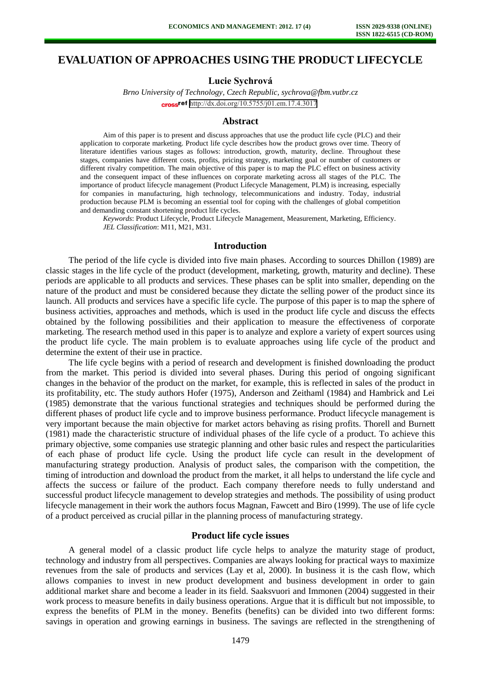# **EVALUATION OF APPROACHES USING THE PRODUCT LIFECYCLE**

**Lucie Sychrová**

*Brno University of Technology, Czech Republic, [sychrova@fbm.vutbr.cz](mailto:sychrova@fbm.vutbr.cz)* cross<sup>ref</sup> <http://dx.doi.org/10.5755/j01.em.17.4.3017>

#### **Abstract**

Aim of this paper is to present and discuss approaches that use the product life cycle (PLC) and their application to corporate marketing. Product life cycle describes how the product grows over time. Theory of literature identifies various stages as follows: introduction, growth, maturity, decline. Throughout these stages, companies have different costs, profits, pricing strategy, marketing goal or number of customers or different rivalry competition. The main objective of this paper is to map the PLC effect on business activity and the consequent impact of these influences on corporate marketing across all stages of the PLC. The importance of product lifecycle management (Product Lifecycle Management, PLM) is increasing, especially for companies in manufacturing, high technology, telecommunications and industry. Today, industrial production because PLM is becoming an essential tool for coping with the challenges of global competition and demanding constant shortening product life cycles.

*Keywords*: Product Lifecycle, Product Lifecycle Management, Measurement, Marketing, Efficiency. *JEL Classification*: M11, M21, M31.

## **Introduction**

The period of the life cycle is divided into five main phases. According to sources Dhillon (1989) are classic stages in the life cycle of the product (development, marketing, growth, maturity and decline). These periods are applicable to all products and services. These phases can be split into smaller, depending on the nature of the product and must be considered because they dictate the selling power of the product since its launch. All products and services have a specific life cycle. The purpose of this paper is to map the sphere of business activities, approaches and methods, which is used in the product life cycle and discuss the effects obtained by the following possibilities and their application to measure the effectiveness of corporate marketing. The research method used in this paper is to analyze and explore a variety of expert sources using the product life cycle. The main problem is to evaluate approaches using life cycle of the product and determine the extent of their use in practice.

The life cycle begins with a period of research and development is finished downloading the product from the market. This period is divided into several phases. During this period of ongoing significant changes in the behavior of the product on the market, for example, this is reflected in sales of the product in its profitability, etc. The study authors Hofer (1975), Anderson and Zeithaml (1984) and Hambrick and Lei (1985) demonstrate that the various functional strategies and techniques should be performed during the different phases of product life cycle and to improve business performance. Product lifecycle management is very important because the main objective for market actors behaving as rising profits. Thorell and Burnett (1981) made the characteristic structure of individual phases of the life cycle of a product. To achieve this primary objective, some companies use strategic planning and other basic rules and respect the particularities of each phase of product life cycle. Using the product life cycle can result in the development of manufacturing strategy production. Analysis of product sales, the comparison with the competition, the timing of introduction and download the product from the market, it all helps to understand the life cycle and affects the success or failure of the product. Each company therefore needs to fully understand and successful product lifecycle management to develop strategies and methods. The possibility of using product lifecycle management in their work the authors focus Magnan, Fawcett and Biro (1999). The use of life cycle of a product perceived as crucial pillar in the planning process of manufacturing strategy.

## **Product life cycle issues**

A general model of a classic product life cycle helps to analyze the maturity stage of product, technology and industry from all perspectives. Companies are always looking for practical ways to maximize revenues from the sale of products and services (Lay et al, 2000). In business it is the cash flow, which allows companies to invest in new product development and business development in order to gain additional market share and become a leader in its field. Saaksvuori and Immonen (2004) suggested in their work process to measure benefits in daily business operations. Argue that it is difficult but not impossible, to express the benefits of PLM in the money. Benefits (benefits) can be divided into two different forms: savings in operation and growing earnings in business. The savings are reflected in the strengthening of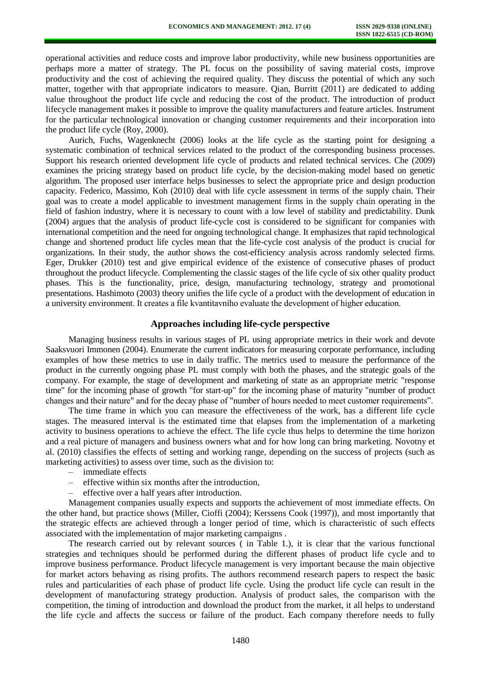operational activities and reduce costs and improve labor productivity, while new business opportunities are perhaps more a matter of strategy. The PL focus on the possibility of saving material costs, improve productivity and the cost of achieving the required quality. They discuss the potential of which any such matter, together with that appropriate indicators to measure. Qian, Burritt (2011) are dedicated to adding value throughout the product life cycle and reducing the cost of the product. The introduction of product lifecycle management makes it possible to improve the quality manufacturers and feature articles. Instrument for the particular technological innovation or changing customer requirements and their incorporation into the product life cycle (Roy, 2000).

Aurich, Fuchs, Wagenknecht (2006) looks at the life cycle as the starting point for designing a systematic combination of technical services related to the product of the corresponding business processes. Support his research oriented development life cycle of products and related technical services. Che (2009) examines the pricing strategy based on product life cycle, by the decision-making model based on genetic algorithm. The proposed user interface helps businesses to select the appropriate price and design production capacity. Federico, Massimo, Koh (2010) deal with life cycle assessment in terms of the supply chain. Their goal was to create a model applicable to investment management firms in the supply chain operating in the field of fashion industry, where it is necessary to count with a low level of stability and predictability. Dunk (2004) argues that the analysis of product life-cycle cost is considered to be significant for companies with international competition and the need for ongoing technological change. It emphasizes that rapid technological change and shortened product life cycles mean that the life-cycle cost analysis of the product is crucial for organizations. In their study, the author shows the cost-efficiency analysis across randomly selected firms. Eger, Drukker (2010) test and give empirical evidence of the existence of consecutive phases of product throughout the product lifecycle. Complementing the classic stages of the life cycle of six other quality product phases. This is the functionality, price, design, manufacturing technology, strategy and promotional presentations. Hashimoto (2003) theory unifies the life cycle of a product with the development of education in a university environment. It creates a file kvantitavního evaluate the development of higher education.

## **Approaches including life-cycle perspective**

Managing business results in various stages of PL using appropriate metrics in their work and devote Saaksvuori Immonen (2004). Enumerate the current indicators for measuring corporate performance, including examples of how these metrics to use in daily traffic. The metrics used to measure the performance of the product in the currently ongoing phase PL must comply with both the phases, and the strategic goals of the company. For example, the stage of development and marketing of state as an appropriate metric "response time" for the incoming phase of growth "for start-up" for the incoming phase of maturity "number of product changes and their nature" and for the decay phase of "number of hours needed to meet customer requirements".

The time frame in which you can measure the effectiveness of the work, has a different life cycle stages. The measured interval is the estimated time that elapses from the implementation of a marketing activity to business operations to achieve the effect. The life cycle thus helps to determine the time horizon and a real picture of managers and business owners what and for how long can bring marketing. Novotny et al. (2010) classifies the effects of setting and working range, depending on the success of projects (such as marketing activities) to assess over time, such as the division to:

- immediate effects
- effective within six months after the introduction,
- effective over a half years after introduction.

Management companies usually expects and supports the achievement of most immediate effects. On the other hand, but practice shows (Miller, Cioffi (2004); Kerssens Cook (1997)), and most importantly that the strategic effects are achieved through a longer period of time, which is characteristic of such effects associated with the implementation of major marketing campaigns .

The research carried out by relevant sources ( in Table 1.), it is clear that the various functional strategies and techniques should be performed during the different phases of product life cycle and to improve business performance. Product lifecycle management is very important because the main objective for market actors behaving as rising profits. The authors recommend research papers to respect the basic rules and particularities of each phase of product life cycle. Using the product life cycle can result in the development of manufacturing strategy production. Analysis of product sales, the comparison with the competition, the timing of introduction and download the product from the market, it all helps to understand the life cycle and affects the success or failure of the product. Each company therefore needs to fully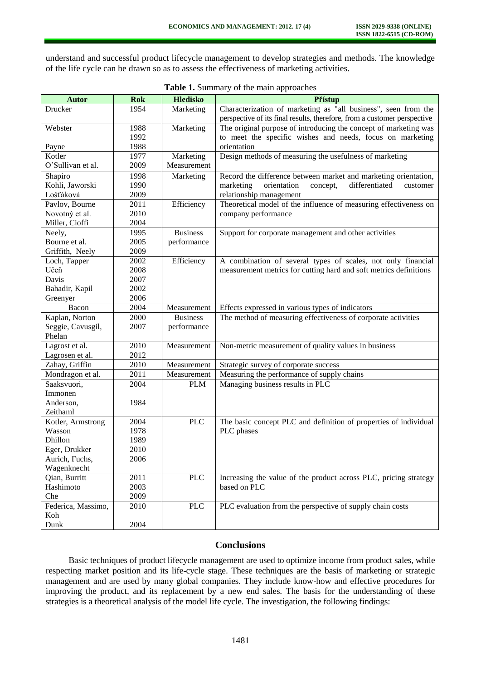understand and successful product lifecycle management to develop strategies and methods. The knowledge of the life cycle can be drawn so as to assess the effectiveness of marketing activities.

| <b>Autor</b>       | <b>Rok</b> | <b>Hledisko</b> | Přístup                                                                  |  |
|--------------------|------------|-----------------|--------------------------------------------------------------------------|--|
| Drucker            | 1954       | Marketing       | Characterization of marketing as "all business", seen from the           |  |
|                    |            |                 | perspective of its final results, therefore, from a customer perspective |  |
| Webster            | 1988       | Marketing       | The original purpose of introducing the concept of marketing was         |  |
|                    | 1992       |                 | to meet the specific wishes and needs, focus on marketing                |  |
| Payne              | 1988       |                 | orientation                                                              |  |
| Kotler             | 1977       | Marketing       | Design methods of measuring the usefulness of marketing                  |  |
| O'Sullivan et al.  | 2009       | Measurement     |                                                                          |  |
| Shapiro            | 1998       | Marketing       | Record the difference between market and marketing orientation,          |  |
| Kohli, Jaworski    | 1990       |                 | orientation<br>differentiated<br>marketing<br>concept,<br>customer       |  |
| Lošťáková          | 2009       |                 | relationship management                                                  |  |
| Pavlov, Bourne     | 2011       | Efficiency      | Theoretical model of the influence of measuring effectiveness on         |  |
| Novotný et al.     | 2010       |                 | company performance                                                      |  |
| Miller, Cioffi     | 2004       |                 |                                                                          |  |
| Neely,             | 1995       | <b>Business</b> | Support for corporate management and other activities                    |  |
| Bourne et al.      | 2005       | performance     |                                                                          |  |
| Griffith, Neely    | 2009       |                 |                                                                          |  |
| Loch, Tapper       | 2002       | Efficiency      | A combination of several types of scales, not only financial             |  |
| Učeň               | 2008       |                 | measurement metrics for cutting hard and soft metrics definitions        |  |
| Davis              | 2007       |                 |                                                                          |  |
| Bahadir, Kapil     | 2002       |                 |                                                                          |  |
| Greenyer           | 2006       |                 |                                                                          |  |
| Bacon              | 2004       | Measurement     | Effects expressed in various types of indicators                         |  |
| Kaplan, Norton     | 2000       | <b>Business</b> | The method of measuring effectiveness of corporate activities            |  |
| Seggie, Cavusgil,  | 2007       | performance     |                                                                          |  |
| Phelan             |            |                 |                                                                          |  |
| Lagrost et al.     | 2010       | Measurement     | Non-metric measurement of quality values in business                     |  |
| Lagrosen et al.    | 2012       |                 |                                                                          |  |
| Zahay, Griffin     | 2010       | Measurement     | Strategic survey of corporate success                                    |  |
| Mondragon et al.   | 2011       | Measurement     | Measuring the performance of supply chains                               |  |
| Saaksvuori,        | 2004       | <b>PLM</b>      | Managing business results in PLC                                         |  |
| Immonen            |            |                 |                                                                          |  |
| Anderson,          | 1984       |                 |                                                                          |  |
| Zeithaml           |            |                 |                                                                          |  |
| Kotler, Armstrong  | 2004       | <b>PLC</b>      | The basic concept PLC and definition of properties of individual         |  |
| Wasson             | 1978       |                 | PLC phases                                                               |  |
| Dhillon            | 1989       |                 |                                                                          |  |
| Eger, Drukker      | 2010       |                 |                                                                          |  |
| Aurich, Fuchs,     | 2006       |                 |                                                                          |  |
| Wagenknecht        |            |                 |                                                                          |  |
| Qian, Burritt      | 2011       | <b>PLC</b>      | Increasing the value of the product across PLC, pricing strategy         |  |
| Hashimoto          | 2003       |                 | based on PLC                                                             |  |
| Che                | 2009       |                 |                                                                          |  |
| Federica, Massimo, | 2010       | <b>PLC</b>      | PLC evaluation from the perspective of supply chain costs                |  |
| Koh                |            |                 |                                                                          |  |
| Dunk               | 2004       |                 |                                                                          |  |

|  |  |  |  | Table 1. Summary of the main approaches |
|--|--|--|--|-----------------------------------------|
|--|--|--|--|-----------------------------------------|

# **Conclusions**

Basic techniques of product lifecycle management are used to optimize income from product sales, while respecting market position and its life-cycle stage. These techniques are the basis of marketing or strategic management and are used by many global companies. They include know-how and effective procedures for improving the product, and its replacement by a new end sales. The basis for the understanding of these strategies is a theoretical analysis of the model life cycle. The investigation, the following findings: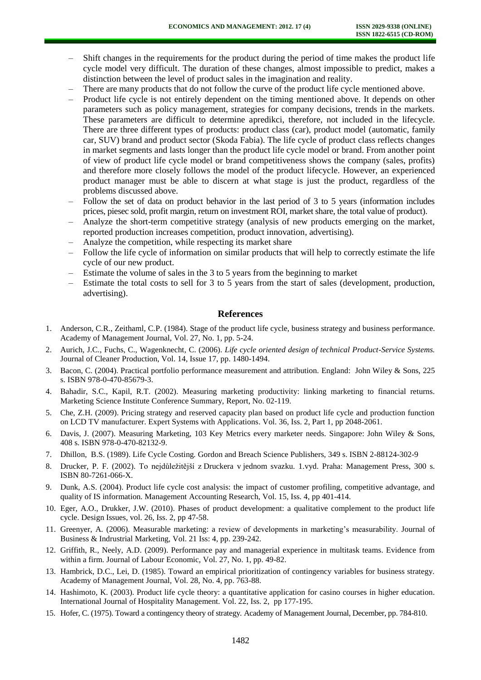- Shift changes in the requirements for the product during the period of time makes the product life cycle model very difficult. The duration of these changes, almost impossible to predict, makes a distinction between the level of product sales in the imagination and reality.
- There are many products that do not follow the curve of the product life cycle mentioned above.
- Product life cycle is not entirely dependent on the timing mentioned above. It depends on other parameters such as policy management, strategies for company decisions, trends in the markets. These parameters are difficult to determine apredikci, therefore, not included in the lifecycle. There are three different types of products: product class (car), product model (automatic, family car, SUV) brand and product sector (Skoda Fabia). The life cycle of product class reflects changes in market segments and lasts longer than the product life cycle model or brand. From another point of view of product life cycle model or brand competitiveness shows the company (sales, profits) and therefore more closely follows the model of the product lifecycle. However, an experienced product manager must be able to discern at what stage is just the product, regardless of the problems discussed above.
- Follow the set of data on product behavior in the last period of 3 to 5 years (information includes prices, piesec sold, profit margin, return on investment ROI, market share, the total value of product).
- Analyze the short-term competitive strategy (analysis of new products emerging on the market, reported production increases competition, product innovation, advertising).
- Analyze the competition, while respecting its market share
- Follow the life cycle of information on similar products that will help to correctly estimate the life cycle of our new product.
- Estimate the volume of sales in the 3 to 5 years from the beginning to market
- Estimate the total costs to sell for 3 to 5 years from the start of sales (development, production, advertising).

## **References**

- 1. Anderson, C.R., Zeithaml, C.P. (1984). Stage of the product life cycle, business strategy and business performance. Academy of Management Journal, Vol. 27, No. 1, pp. 5-24.
- 2. Aurich, J.C., Fuchs, C., Wagenknecht, C. (2006). *Life cycle oriented design of technical Product-Service Systems.*  Journal of Cleaner Production, Vol. 14, Issue 17, pp. 1480-1494.
- 3. Bacon, C. (2004). Practical portfolio performance measurement and attribution*.* England: John Wiley & Sons, 225 s. ISBN 978-0-470-85679-3.
- 4. Bahadir, S.C., Kapil, R.T. (2002). Measuring marketing productivity: linking marketing to financial returns. Marketing Science Institute Conference Summary, Report, No. 02-119.
- 5. Che, Z.H. (2009). Pricing strategy and reserved capacity plan based on product life cycle and production function on LCD TV manufacturer. Expert Systems with Applications. Vol. 36, Iss. 2, Part 1, pp 2048-2061.
- 6. Davis, J. (2007). Measuring Marketing, 103 Key Metrics every marketer needs*.* Singapore: John Wiley & Sons, 408 s. ISBN 978-0-470-82132-9.
- 7. Dhillon, B.S. (1989). Life Cycle Costing*.* Gordon and Breach Science Publishers, 349 s. ISBN 2-88124-302-9
- 8. Drucker, P. F. (2002). To nejdůležitější z Druckera v jednom svazku. 1.vyd. Praha: Management Press, 300 s. ISBN 80-7261-066-X.
- 9. Dunk, A.S. (2004). Product life cycle cost analysis: the impact of customer profiling, competitive advantage, and quality of IS information. Management Accounting Research, Vol. 15, Iss. 4, pp 401-414.
- 10. Eger, A.O., Drukker, J.W. (2010). Phases of product development: a qualitative complement to the product life cycle. Design Issues, vol. 26, Iss. 2, pp 47-58.
- 11. Greenyer, A. (2006). Measurable marketing: a review of developments in marketing's measurability. Journal of Business & Indrustrial Marketing, Vol. 21 Iss: 4, pp. 239-242.
- 12. Griffith, R., Neely, A.D. (2009). Performance pay and managerial experience in multitask teams. Evidence from within a firm. Journal of Labour Economic, Vol. 27, No. 1, pp. 49-82.
- 13. Hambrick, D.C., Lei, D. (1985). Toward an empirical prioritization of contingency variables for business strategy. Academy of Management Journal, Vol. 28, No. 4, pp. 763-88.
- 14. Hashimoto, K. (2003). Product life cycle theory: a quantitative application for casino courses in higher education*.*  International Journal of Hospitality Management. Vol. 22, Iss. 2, pp 177-195.
- 15. Hofer, C. (1975). Toward a contingency theory of strategy*.* Academy of Management Journal, December, pp. 784-810.